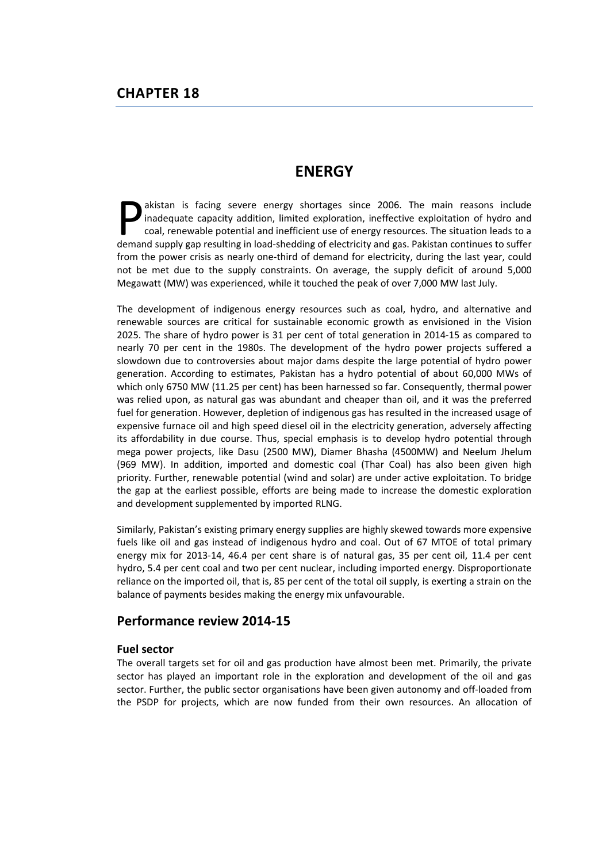# **ENERGY**

akistan is facing severe energy shortages since 2006. The main reasons include inadequate capacity addition, limited exploration, ineffective exploitation of hydro and coal, renewable potential and inefficient use of energy resources. The situation leads to a akistan is facing severe energy shortages since 2006. The main reasons include inadequate capacity addition, limited exploration, ineffective exploitation of hydro and coal, renewable potential and inefficient use of energ from the power crisis as nearly one-third of demand for electricity, during the last year, could not be met due to the supply constraints. On average, the supply deficit of around 5,000 Megawatt (MW) was experienced, while it touched the peak of over 7,000 MW last July.

The development of indigenous energy resources such as coal, hydro, and alternative and renewable sources are critical for sustainable economic growth as envisioned in the Vision 2025. The share of hydro power is 31 per cent of total generation in 2014-15 as compared to nearly 70 per cent in the 1980s. The development of the hydro power projects suffered a slowdown due to controversies about major dams despite the large potential of hydro power generation. According to estimates, Pakistan has a hydro potential of about 60,000 MWs of which only 6750 MW (11.25 per cent) has been harnessed so far. Consequently, thermal power was relied upon, as natural gas was abundant and cheaper than oil, and it was the preferred fuel for generation. However, depletion of indigenous gas has resulted in the increased usage of expensive furnace oil and high speed diesel oil in the electricity generation, adversely affecting its affordability in due course. Thus, special emphasis is to develop hydro potential through mega power projects, like Dasu (2500 MW), Diamer Bhasha (4500MW) and Neelum Jhelum (969 MW). In addition, imported and domestic coal (Thar Coal) has also been given high priority. Further, renewable potential (wind and solar) are under active exploitation. To bridge the gap at the earliest possible, efforts are being made to increase the domestic exploration and development supplemented by imported RLNG.

Similarly, Pakistan's existing primary energy supplies are highly skewed towards more expensive fuels like oil and gas instead of indigenous hydro and coal. Out of 67 MTOE of total primary energy mix for 2013-14, 46.4 per cent share is of natural gas, 35 per cent oil, 11.4 per cent hydro, 5.4 per cent coal and two per cent nuclear, including imported energy. Disproportionate reliance on the imported oil, that is, 85 per cent of the total oil supply, is exerting a strain on the balance of payments besides making the energy mix unfavourable.

## Performance review 2014-15

## Fuel sector

The overall targets set for oil and gas production have almost been met. Primarily, the private sector has played an important role in the exploration and development of the oil and gas sector. Further, the public sector organisations have been given autonomy and off-loaded from the PSDP for projects, which are now funded from their own resources. An allocation of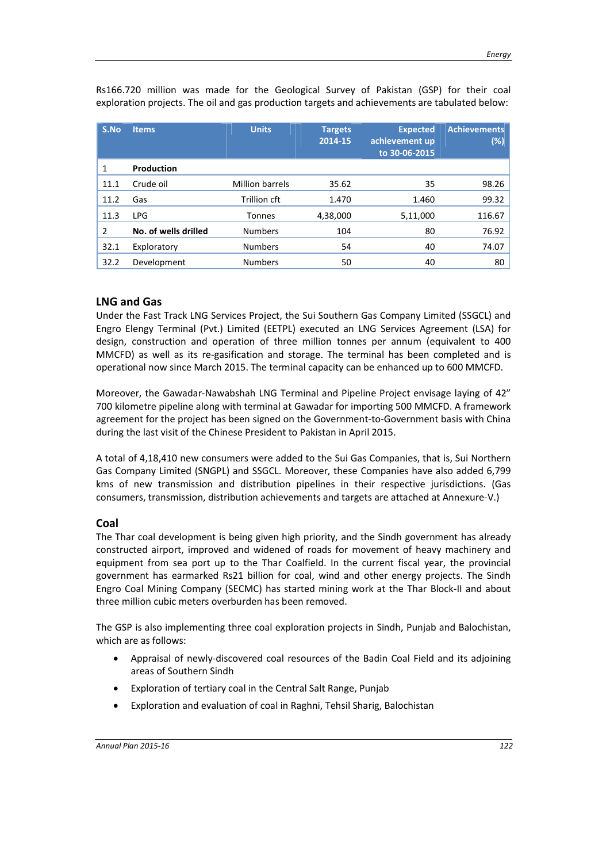| S.No           | <b>Items</b>         | <b>Units</b>    | <b>Targets</b><br>2014-15 | <b>Expected</b><br>achievement up<br>to 30-06-2015 | <b>Achievements</b><br>(%) |
|----------------|----------------------|-----------------|---------------------------|----------------------------------------------------|----------------------------|
| 1              | <b>Production</b>    |                 |                           |                                                    |                            |
| 11.1           | Crude oil            | Million barrels | 35.62                     | 35                                                 | 98.26                      |
| 11.2           | Gas                  | Trillion cft    | 1.470                     | 1.460                                              | 99.32                      |
| 11.3           | <b>LPG</b>           | <b>Tonnes</b>   | 4,38,000                  | 5,11,000                                           | 116.67                     |
| $\overline{2}$ | No. of wells drilled | <b>Numbers</b>  | 104                       | 80                                                 | 76.92                      |
| 32.1           | Exploratory          | <b>Numbers</b>  | 54                        | 40                                                 | 74.07                      |
| 32.2           | Development          | <b>Numbers</b>  | 50                        | 40                                                 | 80                         |

Rs166.720 million was made for the Geological Survey of Pakistan (GSP) for their coal exploration projects. The oil and gas production targets and achievements are tabulated below:

## LNG and Gas

Under the Fast Track LNG Services Project, the Sui Southern Gas Company Limited (SSGCL) and Engro Elengy Terminal (Pvt.) Limited (EETPL) executed an LNG Services Agreement (LSA) for design, construction and operation of three million tonnes per annum (equivalent to 400 MMCFD) as well as its re-gasification and storage. The terminal has been completed and is operational now since March 2015. The terminal capacity can be enhanced up to 600 MMCFD.

Moreover, the Gawadar-Nawabshah LNG Terminal and Pipeline Project envisage laying of 42" 700 kilometre pipeline along with terminal at Gawadar for importing 500 MMCFD. A framework agreement for the project has been signed on the Government-to-Government basis with China during the last visit of the Chinese President to Pakistan in April 2015.

A total of 4,18,410 new consumers were added to the Sui Gas Companies, that is, Sui Northern Gas Company Limited (SNGPL) and SSGCL. Moreover, these Companies have also added 6,799 kms of new transmission and distribution pipelines in their respective jurisdictions. (Gas consumers, transmission, distribution achievements and targets are attached at Annexure-V.)

## Coal

The Thar coal development is being given high priority, and the Sindh government has already constructed airport, improved and widened of roads for movement of heavy machinery and equipment from sea port up to the Thar Coalfield. In the current fiscal year, the provincial government has earmarked Rs21 billion for coal, wind and other energy projects. The Sindh Engro Coal Mining Company (SECMC) has started mining work at the Thar Block-II and about three million cubic meters overburden has been removed.

The GSP is also implementing three coal exploration projects in Sindh, Punjab and Balochistan, which are as follows:

- Appraisal of newly-discovered coal resources of the Badin Coal Field and its adjoining areas of Southern Sindh
- Exploration of tertiary coal in the Central Salt Range, Punjab
- Exploration and evaluation of coal in Raghni, Tehsil Sharig, Balochistan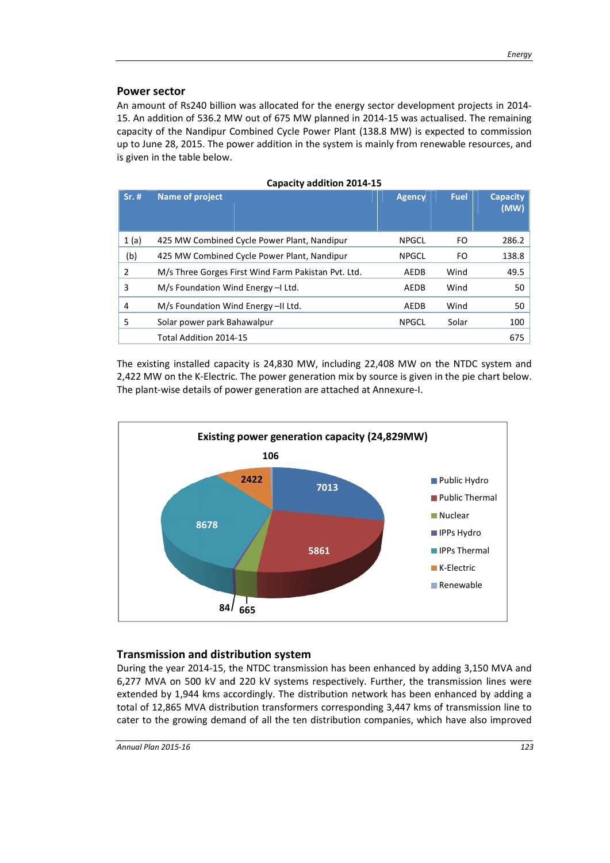## Power sector

An amount of Rs240 billion was allocated for the energy sector development projects in 2014-15. An addition of 536.2 MW out of 675 MW planned in 2014-15 was actualised. The remaining capacity of the Nandipur Combined Cycle Power Plant (138.8 MW) is expected to commission up to June 28, 2015. The power addition in the system is mainly from renewable resources, and is given in the table below.

Capacity addition 2014-15

| Sr. # | <b>Name of project</b>                              | <b>Agency</b> | <b>Fuel</b> | <b>Capacity</b><br>(MW) |
|-------|-----------------------------------------------------|---------------|-------------|-------------------------|
| 1(a)  | 425 MW Combined Cycle Power Plant, Nandipur         | <b>NPGCL</b>  | FO          | 286.2                   |
| (b)   | 425 MW Combined Cycle Power Plant, Nandipur         | <b>NPGCL</b>  | FO          | 138.8                   |
| 2     | M/s Three Gorges First Wind Farm Pakistan Pvt. Ltd. | AEDB          | Wind        | 49.5                    |
| 3     | M/s Foundation Wind Energy - Ltd.                   | AEDB          | Wind        | 50                      |
| 4     | M/s Foundation Wind Energy-II Ltd.                  | AEDB          | Wind        | 50                      |
| 5     | Solar power park Bahawalpur                         | <b>NPGCL</b>  | Solar       | 100                     |
|       | Total Addition 2014-15                              |               |             | 675                     |

The existing installed capacity is 24,830 MW, including 22,408 MW on the NTDC system and 2,422 MW on the K-Electric. The power generation mix by source is given in the pie chart below. The plant-wise details of power generation are attached at Annexure-I.



## Transmission and distribution system

During the year 2014-15, the NTDC transmission has been enhanced by adding 3,150 MVA and<br>6,277 MVA on 500 kV and 220 kV systems respectively. Further, the transmission lines were 6,277 MVA on 500 kV and 220 kV systems respectively. Further, the transmission lines were 6,277 MVA on 500 kV and 220 kV systems respectively. Further, the transmission lines were<br>extended by 1,944 kms accordingly. The distribution network has been enhanced by adding a total of 12,865 MVA distribution transformers corresponding 3,447 kms of transmission line to cater to the growing demand of all the ten distribution companies, which have also improved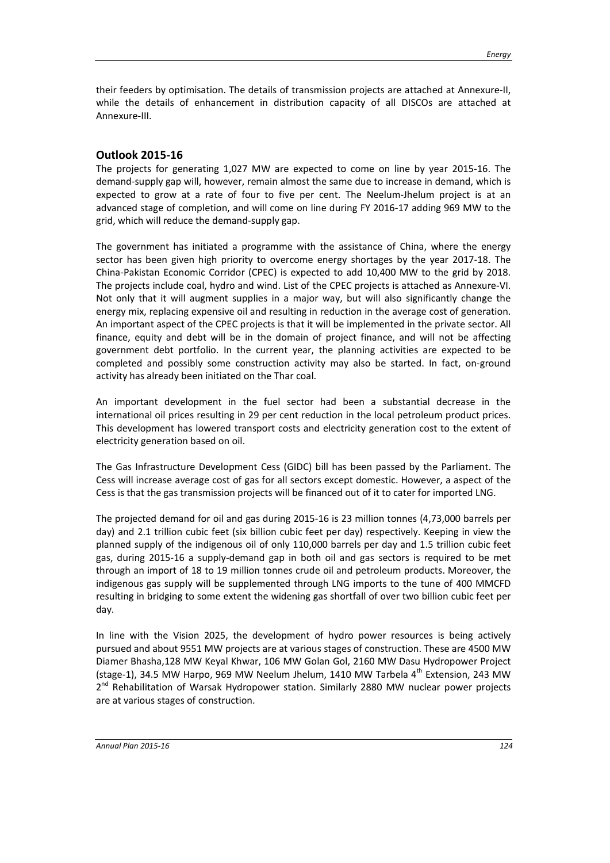their feeders by optimisation. The details of transmission projects are attached at Annexure-II, while the details of enhancement in distribution capacity of all DISCOs are attached at Annexure-III.

## Outlook 2015-16

The projects for generating 1,027 MW are expected to come on line by year 2015-16. The demand-supply gap will, however, remain almost the same due to increase in demand, which is expected to grow at a rate of four to five per cent. The Neelum-Jhelum project is at an advanced stage of completion, and will come on line during FY 2016-17 adding 969 MW to the grid, which will reduce the demand-supply gap.

The government has initiated a programme with the assistance of China, where the energy sector has been given high priority to overcome energy shortages by the year 2017-18. The China-Pakistan Economic Corridor (CPEC) is expected to add 10,400 MW to the grid by 2018. The projects include coal, hydro and wind. List of the CPEC projects is attached as Annexure-VI. Not only that it will augment supplies in a major way, but will also significantly change the energy mix, replacing expensive oil and resulting in reduction in the average cost of generation. An important aspect of the CPEC projects is that it will be implemented in the private sector. All finance, equity and debt will be in the domain of project finance, and will not be affecting government debt portfolio. In the current year, the planning activities are expected to be completed and possibly some construction activity may also be started. In fact, on-ground activity has already been initiated on the Thar coal.

An important development in the fuel sector had been a substantial decrease in the international oil prices resulting in 29 per cent reduction in the local petroleum product prices. This development has lowered transport costs and electricity generation cost to the extent of electricity generation based on oil.

The Gas Infrastructure Development Cess (GIDC) bill has been passed by the Parliament. The Cess will increase average cost of gas for all sectors except domestic. However, a aspect of the Cess is that the gas transmission projects will be financed out of it to cater for imported LNG.

The projected demand for oil and gas during 2015-16 is 23 million tonnes (4,73,000 barrels per day) and 2.1 trillion cubic feet (six billion cubic feet per day) respectively. Keeping in view the planned supply of the indigenous oil of only 110,000 barrels per day and 1.5 trillion cubic feet gas, during 2015-16 a supply-demand gap in both oil and gas sectors is required to be met through an import of 18 to 19 million tonnes crude oil and petroleum products. Moreover, the indigenous gas supply will be supplemented through LNG imports to the tune of 400 MMCFD resulting in bridging to some extent the widening gas shortfall of over two billion cubic feet per day.

In line with the Vision 2025, the development of hydro power resources is being actively pursued and about 9551 MW projects are at various stages of construction. These are 4500 MW Diamer Bhasha,128 MW Keyal Khwar, 106 MW Golan Gol, 2160 MW Dasu Hydropower Project (stage-1), 34.5 MW Harpo, 969 MW Neelum Jhelum, 1410 MW Tarbela  $4<sup>th</sup>$  Extension, 243 MW  $2^{nd}$  Rehabilitation of Warsak Hydropower station. Similarly 2880 MW nuclear power projects are at various stages of construction.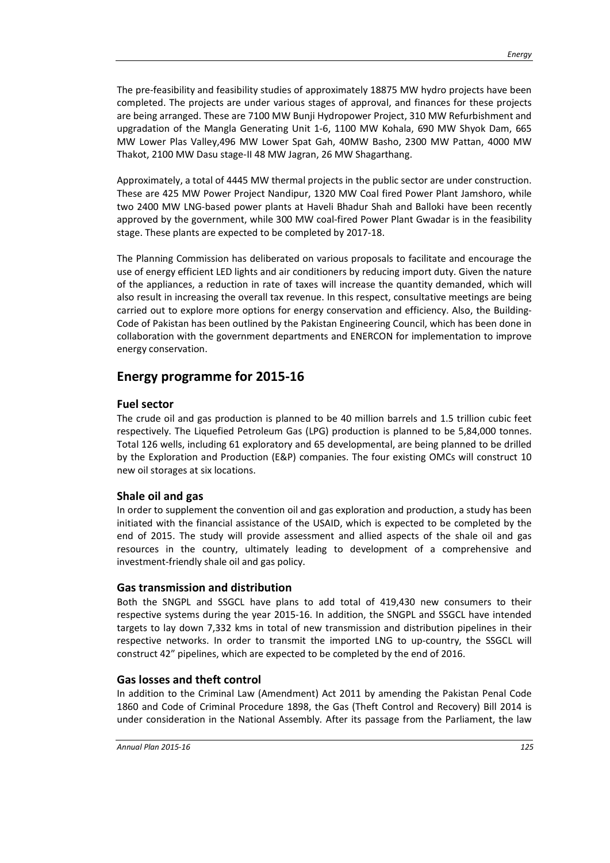The pre-feasibility and feasibility studies of approximately 18875 MW hydro projects have been completed. The projects are under various stages of approval, and finances for these projects are being arranged. These are 7100 MW Bunji Hydropower Project, 310 MW Refurbishment and upgradation of the Mangla Generating Unit 1-6, 1100 MW Kohala, 690 MW Shyok Dam, 665 MW Lower Plas Valley,496 MW Lower Spat Gah, 40MW Basho, 2300 MW Pattan, 4000 MW Thakot, 2100 MW Dasu stage-II 48 MW Jagran, 26 MW Shagarthang.

Approximately, a total of 4445 MW thermal projects in the public sector are under construction. These are 425 MW Power Project Nandipur, 1320 MW Coal fired Power Plant Jamshoro, while two 2400 MW LNG-based power plants at Haveli Bhadur Shah and Balloki have been recently approved by the government, while 300 MW coal-fired Power Plant Gwadar is in the feasibility stage. These plants are expected to be completed by 2017-18.

The Planning Commission has deliberated on various proposals to facilitate and encourage the use of energy efficient LED lights and air conditioners by reducing import duty. Given the nature of the appliances, a reduction in rate of taxes will increase the quantity demanded, which will also result in increasing the overall tax revenue. In this respect, consultative meetings are being carried out to explore more options for energy conservation and efficiency. Also, the Building-Code of Pakistan has been outlined by the Pakistan Engineering Council, which has been done in collaboration with the government departments and ENERCON for implementation to improve energy conservation.

## Energy programme for 2015-16

#### Fuel sector

The crude oil and gas production is planned to be 40 million barrels and 1.5 trillion cubic feet respectively. The Liquefied Petroleum Gas (LPG) production is planned to be 5,84,000 tonnes. Total 126 wells, including 61 exploratory and 65 developmental, are being planned to be drilled by the Exploration and Production (E&P) companies. The four existing OMCs will construct 10 new oil storages at six locations.

## Shale oil and gas

In order to supplement the convention oil and gas exploration and production, a study has been initiated with the financial assistance of the USAID, which is expected to be completed by the end of 2015. The study will provide assessment and allied aspects of the shale oil and gas resources in the country, ultimately leading to development of a comprehensive and investment-friendly shale oil and gas policy.

#### Gas transmission and distribution

Both the SNGPL and SSGCL have plans to add total of 419,430 new consumers to their respective systems during the year 2015-16. In addition, the SNGPL and SSGCL have intended targets to lay down 7,332 kms in total of new transmission and distribution pipelines in their respective networks. In order to transmit the imported LNG to up-country, the SSGCL will construct 42" pipelines, which are expected to be completed by the end of 2016.

#### Gas losses and theft control

In addition to the Criminal Law (Amendment) Act 2011 by amending the Pakistan Penal Code 1860 and Code of Criminal Procedure 1898, the Gas (Theft Control and Recovery) Bill 2014 is under consideration in the National Assembly. After its passage from the Parliament, the law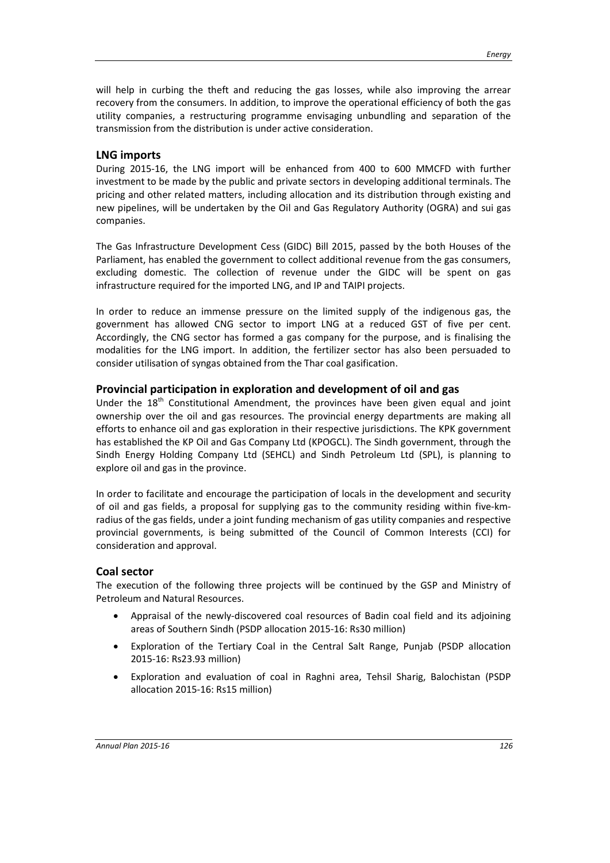will help in curbing the theft and reducing the gas losses, while also improving the arrear recovery from the consumers. In addition, to improve the operational efficiency of both the gas utility companies, a restructuring programme envisaging unbundling and separation of the transmission from the distribution is under active consideration.

## LNG imports

During 2015-16, the LNG import will be enhanced from 400 to 600 MMCFD with further investment to be made by the public and private sectors in developing additional terminals. The pricing and other related matters, including allocation and its distribution through existing and new pipelines, will be undertaken by the Oil and Gas Regulatory Authority (OGRA) and sui gas companies.

The Gas Infrastructure Development Cess (GIDC) Bill 2015, passed by the both Houses of the Parliament, has enabled the government to collect additional revenue from the gas consumers, excluding domestic. The collection of revenue under the GIDC will be spent on gas infrastructure required for the imported LNG, and IP and TAIPI projects.

In order to reduce an immense pressure on the limited supply of the indigenous gas, the government has allowed CNG sector to import LNG at a reduced GST of five per cent. Accordingly, the CNG sector has formed a gas company for the purpose, and is finalising the modalities for the LNG import. In addition, the fertilizer sector has also been persuaded to consider utilisation of syngas obtained from the Thar coal gasification.

#### Provincial participation in exploration and development of oil and gas

Under the  $18<sup>th</sup>$  Constitutional Amendment, the provinces have been given equal and joint ownership over the oil and gas resources. The provincial energy departments are making all efforts to enhance oil and gas exploration in their respective jurisdictions. The KPK government has established the KP Oil and Gas Company Ltd (KPOGCL). The Sindh government, through the Sindh Energy Holding Company Ltd (SEHCL) and Sindh Petroleum Ltd (SPL), is planning to explore oil and gas in the province.

In order to facilitate and encourage the participation of locals in the development and security of oil and gas fields, a proposal for supplying gas to the community residing within five-kmradius of the gas fields, under a joint funding mechanism of gas utility companies and respective provincial governments, is being submitted of the Council of Common Interests (CCI) for consideration and approval.

#### Coal sector

The execution of the following three projects will be continued by the GSP and Ministry of Petroleum and Natural Resources.

- Appraisal of the newly-discovered coal resources of Badin coal field and its adjoining areas of Southern Sindh (PSDP allocation 2015-16: Rs30 million)
- Exploration of the Tertiary Coal in the Central Salt Range, Punjab (PSDP allocation 2015-16: Rs23.93 million)
- Exploration and evaluation of coal in Raghni area, Tehsil Sharig, Balochistan (PSDP allocation 2015-16: Rs15 million)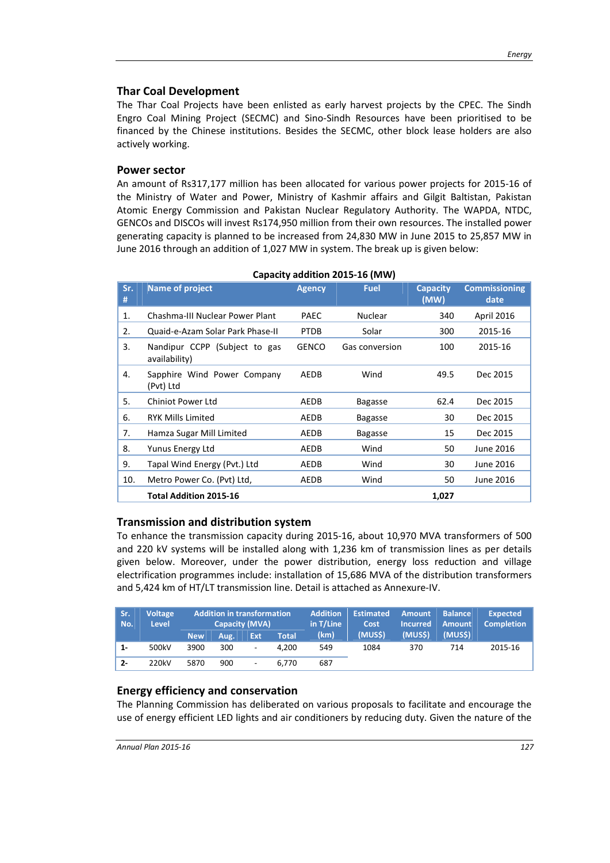#### Thar Coal Development

The Thar Coal Projects have been enlisted as early harvest projects by the CPEC. The Sindh Engro Coal Mining Project (SECMC) and Sino-Sindh Resources have been prioritised to be financed by the Chinese institutions. Besides the SECMC, other block lease holders are also actively working.

#### Power sector

An amount of Rs317,177 million has been allocated for various power projects for 2015-16 of the Ministry of Water and Power, Ministry of Kashmir affairs and Gilgit Baltistan, Pakistan Atomic Energy Commission and Pakistan Nuclear Regulatory Authority. The WAPDA, NTDC, GENCOs and DISCOs will invest Rs174,950 million from their own resources. The installed power generating capacity is planned to be increased from 24,830 MW in June 2015 to 25,857 MW in June 2016 through an addition of 1,027 MW in system. The break up is given below:

| Sr.<br># | <b>Name of project</b>                         | <b>Agency</b> | <b>Fuel</b>    | <b>Capacity</b><br>(MW) | <b>Commissioning</b><br>date |
|----------|------------------------------------------------|---------------|----------------|-------------------------|------------------------------|
| 1.       | Chashma-III Nuclear Power Plant                | <b>PAEC</b>   | <b>Nuclear</b> | 340                     | April 2016                   |
| 2.       | Quaid-e-Azam Solar Park Phase-II               | <b>PTDB</b>   | Solar          | 300                     | 2015-16                      |
| 3.       | Nandipur CCPP (Subject to gas<br>availability) | <b>GENCO</b>  | Gas conversion | 100                     | 2015-16                      |
| 4.       | Sapphire Wind Power Company<br>(Pvt) Ltd       | <b>AEDB</b>   | Wind           | 49.5                    | Dec 2015                     |
| 5.       | <b>Chiniot Power Ltd</b>                       | AEDB          | <b>Bagasse</b> | 62.4                    | Dec 2015                     |
| 6.       | <b>RYK Mills Limited</b>                       | AEDB          | <b>Bagasse</b> | 30                      | Dec 2015                     |
| 7.       | Hamza Sugar Mill Limited                       | AEDB          | <b>Bagasse</b> | 15                      | Dec 2015                     |
| 8.       | Yunus Energy Ltd                               | AEDB          | Wind           | 50                      | June 2016                    |
| 9.       | Tapal Wind Energy (Pvt.) Ltd                   | AEDB          | Wind           | 30                      | June 2016                    |
| 10.      | Metro Power Co. (Pvt) Ltd,                     | AEDB          | Wind           | 50                      | June 2016                    |
|          | <b>Total Addition 2015-16</b>                  |               |                | 1,027                   |                              |

| Capacity addition 2015-16 (MW) |  |  |
|--------------------------------|--|--|
|--------------------------------|--|--|

## Transmission and distribution system

To enhance the transmission capacity during 2015-16, about 10,970 MVA transformers of 500 and 220 kV systems will be installed along with 1,236 km of transmission lines as per details given below. Moreover, under the power distribution, energy loss reduction and village electrification programmes include: installation of 15,686 MVA of the distribution transformers and 5,424 km of HT/LT transmission line. Detail is attached as Annexure-IV.

| Sr.<br>No. | <b>Voltage</b><br><b>Level</b> | <b>Addition in transformation</b><br><b>Capacity (MVA)</b> |      | <b>Addition</b><br>in T/Line | <b>Estimated</b><br>Cost | <b>Amount</b><br><b>Incurred</b> | <b>Balance</b><br><b>Amount</b> | <b>Expected</b><br><b>Completion</b> |        |         |
|------------|--------------------------------|------------------------------------------------------------|------|------------------------------|--------------------------|----------------------------------|---------------------------------|--------------------------------------|--------|---------|
|            |                                | <b>New</b>                                                 | Aug. | Ext                          | <b>Total</b>             | (km)                             | (MUS <sub>5</sub> )             | (MUSS)                               | (MUSS) |         |
| $1 -$      | 500kV                          | 3900                                                       | 300  | $\overline{\phantom{a}}$     | 4.200                    | 549                              | 1084                            | 370                                  | 714    | 2015-16 |
| $2 -$      | 220kV                          | 5870                                                       | 900  | $\overline{\phantom{a}}$     | 6.770                    | 687                              |                                 |                                      |        |         |

## Energy efficiency and conservation

The Planning Commission has deliberated on various proposals to facilitate and encourage the use of energy efficient LED lights and air conditioners by reducing duty. Given the nature of the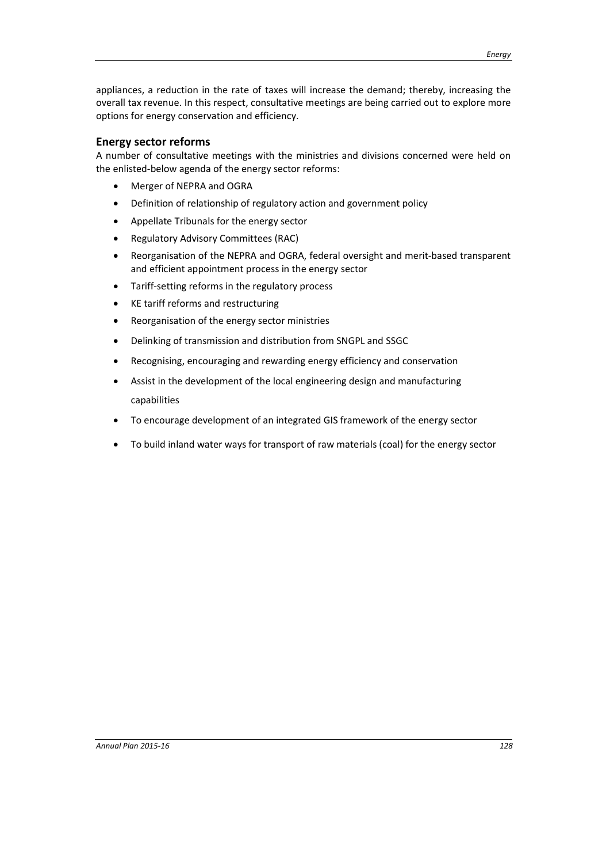appliances, a reduction in the rate of taxes will increase the demand; thereby, increasing the overall tax revenue. In this respect, consultative meetings are being carried out to explore more options for energy conservation and efficiency.

## Energy sector reforms

A number of consultative meetings with the ministries and divisions concerned were held on the enlisted-below agenda of the energy sector reforms:

- Merger of NEPRA and OGRA
- Definition of relationship of regulatory action and government policy
- Appellate Tribunals for the energy sector
- Regulatory Advisory Committees (RAC)
- Reorganisation of the NEPRA and OGRA, federal oversight and merit-based transparent and efficient appointment process in the energy sector
- Tariff-setting reforms in the regulatory process
- KE tariff reforms and restructuring
- Reorganisation of the energy sector ministries
- Delinking of transmission and distribution from SNGPL and SSGC
- Recognising, encouraging and rewarding energy efficiency and conservation
- Assist in the development of the local engineering design and manufacturing capabilities
- To encourage development of an integrated GIS framework of the energy sector
- To build inland water ways for transport of raw materials (coal) for the energy sector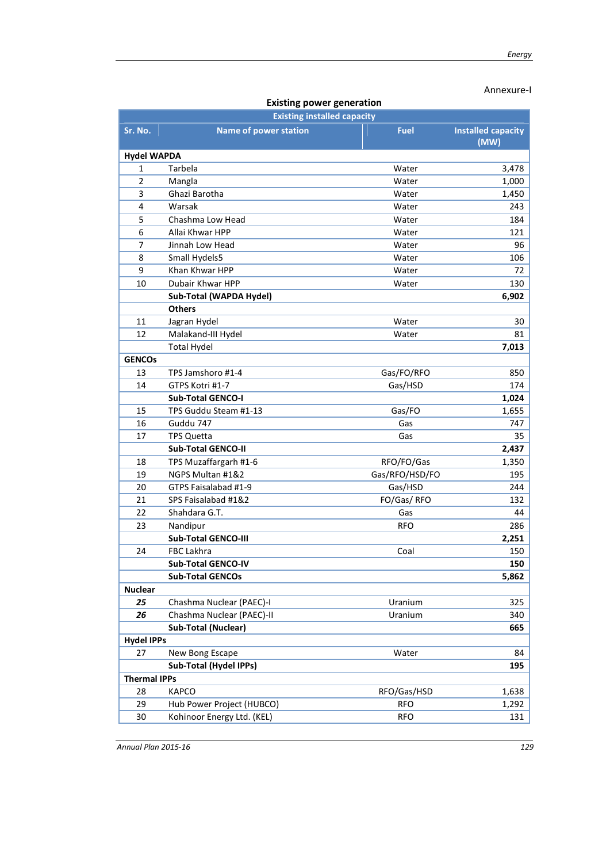## Annexure-I

| existing power generation |                                    |                |                           |  |  |  |  |  |
|---------------------------|------------------------------------|----------------|---------------------------|--|--|--|--|--|
|                           | <b>Existing installed capacity</b> |                |                           |  |  |  |  |  |
| Sr. No.                   | <b>Name of power station</b>       | <b>Fuel</b>    | <b>Installed capacity</b> |  |  |  |  |  |
|                           |                                    |                | (MW)                      |  |  |  |  |  |
| <b>Hydel WAPDA</b>        |                                    |                |                           |  |  |  |  |  |
| 1                         | Tarbela                            | Water          | 3,478                     |  |  |  |  |  |
| $\overline{2}$            | Mangla                             | Water          | 1,000                     |  |  |  |  |  |
| 3                         | Ghazi Barotha                      | Water          | 1,450                     |  |  |  |  |  |
| 4                         | Warsak                             | Water          | 243                       |  |  |  |  |  |
| 5                         | Chashma Low Head                   | Water          | 184                       |  |  |  |  |  |
| 6                         | Allai Khwar HPP                    | Water          | 121                       |  |  |  |  |  |
| 7                         | Jinnah Low Head                    | Water          | 96                        |  |  |  |  |  |
| 8                         | Small Hydels5                      | Water          | 106                       |  |  |  |  |  |
| 9                         | Khan Khwar HPP                     | Water          | 72                        |  |  |  |  |  |
| 10                        | Dubair Khwar HPP                   | Water          | 130                       |  |  |  |  |  |
|                           | Sub-Total (WAPDA Hydel)            |                | 6,902                     |  |  |  |  |  |
|                           | <b>Others</b>                      |                |                           |  |  |  |  |  |
| 11                        | Jagran Hydel                       | Water          | 30                        |  |  |  |  |  |
| 12                        | Malakand-III Hydel                 | Water          | 81                        |  |  |  |  |  |
|                           | <b>Total Hydel</b>                 |                | 7,013                     |  |  |  |  |  |
| <b>GENCOs</b>             |                                    |                |                           |  |  |  |  |  |
| 13                        | TPS Jamshoro #1-4                  | Gas/FO/RFO     | 850                       |  |  |  |  |  |
| 14                        | GTPS Kotri #1-7                    | Gas/HSD        | 174                       |  |  |  |  |  |
|                           | <b>Sub-Total GENCO-I</b>           |                | 1,024                     |  |  |  |  |  |
| 15                        | TPS Guddu Steam #1-13              | Gas/FO         | 1,655                     |  |  |  |  |  |
| 16                        | Guddu 747                          | Gas            | 747                       |  |  |  |  |  |
| 17                        | TPS Quetta                         | Gas            | 35                        |  |  |  |  |  |
|                           | <b>Sub-Total GENCO-II</b>          |                | 2,437                     |  |  |  |  |  |
| 18                        | TPS Muzaffargarh #1-6              | RFO/FO/Gas     | 1,350                     |  |  |  |  |  |
| 19                        | NGPS Multan #1&2                   | Gas/RFO/HSD/FO | 195                       |  |  |  |  |  |
| 20                        | GTPS Faisalabad #1-9               | Gas/HSD        | 244                       |  |  |  |  |  |
| 21                        | SPS Faisalabad #1&2                | FO/Gas/RFO     | 132                       |  |  |  |  |  |
| 22                        | Shahdara G.T.                      | Gas            | 44                        |  |  |  |  |  |
| 23                        | Nandipur                           | <b>RFO</b>     | 286                       |  |  |  |  |  |
|                           | Sub-Total GENCO-III                |                | 2,251                     |  |  |  |  |  |
| 24                        | <b>FBC Lakhra</b>                  | Coal           | 150                       |  |  |  |  |  |
|                           | Sub-Total GENCO-IV                 |                | 150                       |  |  |  |  |  |
|                           | <b>Sub-Total GENCOs</b>            |                | 5,862                     |  |  |  |  |  |
| <b>Nuclear</b>            |                                    |                |                           |  |  |  |  |  |
| 25                        | Chashma Nuclear (PAEC)-I           | Uranium        | 325                       |  |  |  |  |  |
| 26                        | Chashma Nuclear (PAEC)-II          | Uranium        | 340                       |  |  |  |  |  |
|                           | <b>Sub-Total (Nuclear)</b>         |                | 665                       |  |  |  |  |  |
| <b>Hydel IPPs</b>         |                                    |                |                           |  |  |  |  |  |
| 27                        | New Bong Escape                    | Water          | 84                        |  |  |  |  |  |
|                           | Sub-Total (Hydel IPPs)             |                | 195                       |  |  |  |  |  |
| <b>Thermal IPPs</b>       |                                    |                |                           |  |  |  |  |  |
| 28                        | <b>KAPCO</b>                       | RFO/Gas/HSD    | 1,638                     |  |  |  |  |  |
| 29                        | Hub Power Project (HUBCO)          | <b>RFO</b>     | 1,292                     |  |  |  |  |  |
| 30                        | Kohinoor Energy Ltd. (KEL)         | <b>RFO</b>     | 131                       |  |  |  |  |  |

## Existing power generation

*Annual Plan 2015-16 129*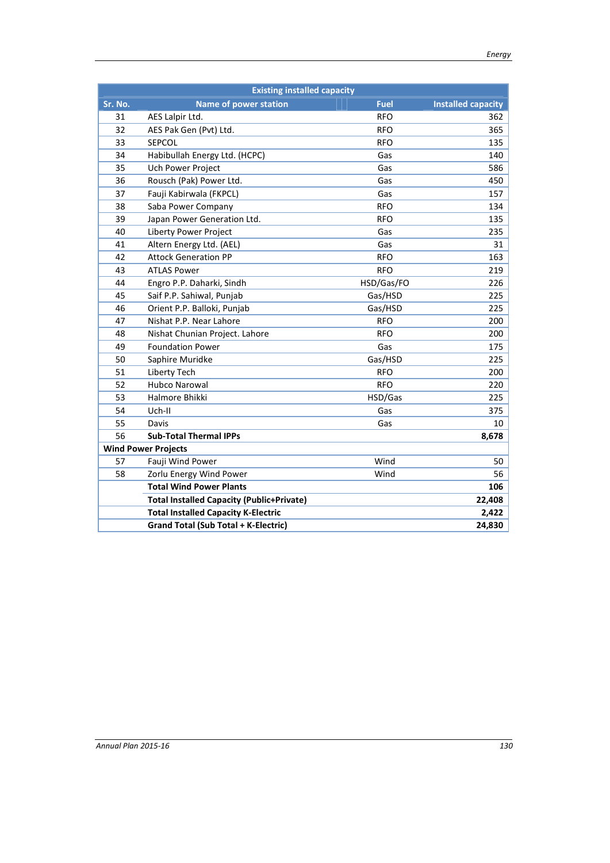|         | <b>Existing installed capacity</b>               |             |                           |  |  |  |  |  |  |
|---------|--------------------------------------------------|-------------|---------------------------|--|--|--|--|--|--|
| Sr. No. | <b>Name of power station</b>                     | <b>Fuel</b> | <b>Installed capacity</b> |  |  |  |  |  |  |
| 31      | AES Lalpir Ltd.                                  | <b>RFO</b>  | 362                       |  |  |  |  |  |  |
| 32      | AES Pak Gen (Pvt) Ltd.                           | <b>RFO</b>  | 365                       |  |  |  |  |  |  |
| 33      | <b>SEPCOL</b>                                    | <b>RFO</b>  | 135                       |  |  |  |  |  |  |
| 34      | Habibullah Energy Ltd. (HCPC)                    | Gas         | 140                       |  |  |  |  |  |  |
| 35      | Uch Power Project                                | Gas         | 586                       |  |  |  |  |  |  |
| 36      | Rousch (Pak) Power Ltd.                          | Gas         | 450                       |  |  |  |  |  |  |
| 37      | Fauji Kabirwala (FKPCL)                          | Gas         | 157                       |  |  |  |  |  |  |
| 38      | Saba Power Company                               | <b>RFO</b>  | 134                       |  |  |  |  |  |  |
| 39      | Japan Power Generation Ltd.                      | <b>RFO</b>  | 135                       |  |  |  |  |  |  |
| 40      | Liberty Power Project                            | Gas         | 235                       |  |  |  |  |  |  |
| 41      | Altern Energy Ltd. (AEL)                         | Gas         | 31                        |  |  |  |  |  |  |
| 42      | <b>Attock Generation PP</b>                      | <b>RFO</b>  | 163                       |  |  |  |  |  |  |
| 43      | <b>ATLAS Power</b>                               | <b>RFO</b>  | 219                       |  |  |  |  |  |  |
| 44      | Engro P.P. Daharki, Sindh                        | HSD/Gas/FO  | 226                       |  |  |  |  |  |  |
| 45      | Saif P.P. Sahiwal, Punjab                        | Gas/HSD     | 225                       |  |  |  |  |  |  |
| 46      | Orient P.P. Balloki, Punjab                      | Gas/HSD     | 225                       |  |  |  |  |  |  |
| 47      | Nishat P.P. Near Lahore                          | <b>RFO</b>  | 200                       |  |  |  |  |  |  |
| 48      | Nishat Chunian Project. Lahore                   | <b>RFO</b>  | 200                       |  |  |  |  |  |  |
| 49      | <b>Foundation Power</b>                          | Gas         | 175                       |  |  |  |  |  |  |
| 50      | Saphire Muridke                                  | Gas/HSD     | 225                       |  |  |  |  |  |  |
| 51      | Liberty Tech                                     | <b>RFO</b>  | 200                       |  |  |  |  |  |  |
| 52      | <b>Hubco Narowal</b>                             | <b>RFO</b>  | 220                       |  |  |  |  |  |  |
| 53      | Halmore Bhikki                                   | HSD/Gas     | 225                       |  |  |  |  |  |  |
| 54      | Uch-II                                           | Gas         | 375                       |  |  |  |  |  |  |
| 55      | Davis                                            | Gas         | 10                        |  |  |  |  |  |  |
| 56      | <b>Sub-Total Thermal IPPs</b>                    |             | 8,678                     |  |  |  |  |  |  |
|         | <b>Wind Power Projects</b>                       |             |                           |  |  |  |  |  |  |
| 57      | Fauji Wind Power                                 | Wind        | 50                        |  |  |  |  |  |  |
| 58      | Zorlu Energy Wind Power                          | Wind        | 56                        |  |  |  |  |  |  |
|         | <b>Total Wind Power Plants</b>                   |             | 106                       |  |  |  |  |  |  |
|         | <b>Total Installed Capacity (Public+Private)</b> |             | 22,408                    |  |  |  |  |  |  |
|         | <b>Total Installed Capacity K-Electric</b>       |             | 2,422                     |  |  |  |  |  |  |
|         | <b>Grand Total (Sub Total + K-Electric)</b>      |             | 24,830                    |  |  |  |  |  |  |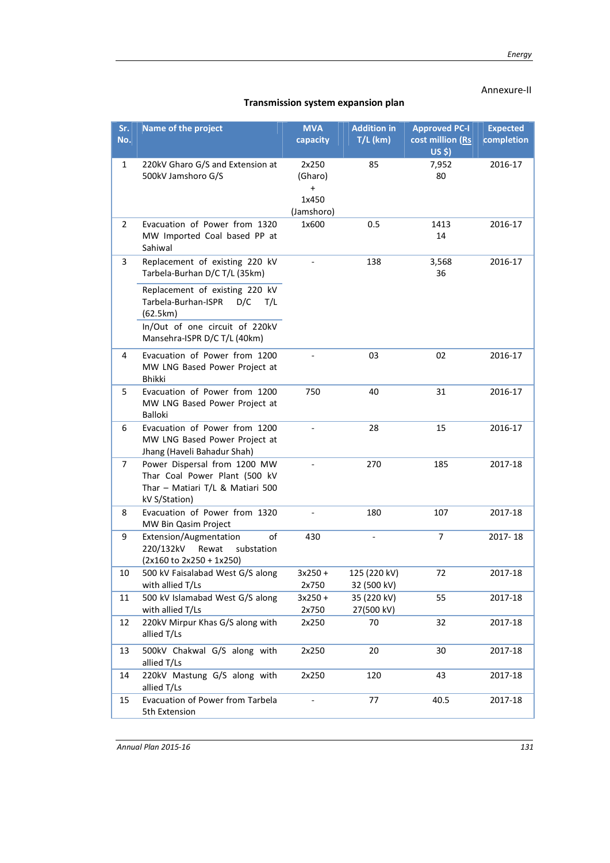## Annexure-II

| Sr.<br>No.     | Name of the project                                                                                                                               | <b>MVA</b><br>capacity                               | <b>Addition in</b><br>$T/L$ (km) | <b>Approved PC-I</b><br>cost million (Rs<br>$US$ \$) | <b>Expected</b><br>completion |
|----------------|---------------------------------------------------------------------------------------------------------------------------------------------------|------------------------------------------------------|----------------------------------|------------------------------------------------------|-------------------------------|
| 1              | 220kV Gharo G/S and Extension at<br>500kV Jamshoro G/S                                                                                            | 2x250<br>(Gharo)<br>$\ddot{}$<br>1x450<br>(Jamshoro) | 85                               | 7,952<br>80                                          | 2016-17                       |
| $\overline{2}$ | Evacuation of Power from 1320<br>MW Imported Coal based PP at<br>Sahiwal                                                                          | 1x600                                                | 0.5                              | 1413<br>14                                           | 2016-17                       |
| 3              | Replacement of existing 220 kV<br>Tarbela-Burhan D/C T/L (35km)                                                                                   |                                                      | 138                              | 3,568<br>36                                          | 2016-17                       |
|                | Replacement of existing 220 kV<br>Tarbela-Burhan-ISPR<br>D/C<br>T/L<br>(62.5km)<br>In/Out of one circuit of 220kV<br>Mansehra-ISPR D/C T/L (40km) |                                                      |                                  |                                                      |                               |
| 4              | Evacuation of Power from 1200<br>MW LNG Based Power Project at<br><b>Bhikki</b>                                                                   |                                                      | 03                               | 02                                                   | 2016-17                       |
| 5              | Evacuation of Power from 1200<br>MW LNG Based Power Project at<br><b>Balloki</b>                                                                  | 750                                                  | 40                               | 31                                                   | 2016-17                       |
| 6              | Evacuation of Power from 1200<br>MW LNG Based Power Project at<br>Jhang (Haveli Bahadur Shah)                                                     |                                                      | 28                               | 15                                                   | 2016-17                       |
| 7              | Power Dispersal from 1200 MW<br>Thar Coal Power Plant (500 kV<br>Thar - Matiari T/L & Matiari 500<br>kV S/Station)                                |                                                      | 270                              | 185                                                  | 2017-18                       |
| 8              | Evacuation of Power from 1320<br>MW Bin Qasim Project                                                                                             |                                                      | 180                              | 107                                                  | 2017-18                       |
| 9              | of<br>Extension/Augmentation<br>220/132kV<br>Rewat<br>substation<br>(2x160 to 2x250 + 1x250)                                                      | 430                                                  |                                  | $\overline{7}$                                       | 2017-18                       |
| 10             | 500 kV Faisalabad West G/S along<br>with allied T/Ls                                                                                              | $3x250 +$<br>2x750                                   | 125 (220 kV)<br>32 (500 kV)      | 72                                                   | 2017-18                       |
| 11             | 500 kV Islamabad West G/S along<br>with allied T/Ls                                                                                               | $3x250 +$<br>2x750                                   | 35 (220 kV)<br>27(500 kV)        | 55                                                   | 2017-18                       |
| 12             | 220kV Mirpur Khas G/S along with<br>allied T/Ls                                                                                                   | 2x250                                                | 70                               | 32                                                   | 2017-18                       |
| 13             | 500kV Chakwal G/S along with<br>allied T/Ls                                                                                                       | 2x250                                                | 20                               | 30                                                   | 2017-18                       |
| 14             | 220kV Mastung G/S along with<br>allied T/Ls                                                                                                       | 2x250                                                | 120                              | 43                                                   | 2017-18                       |
| 15             | Evacuation of Power from Tarbela<br>5th Extension                                                                                                 |                                                      | 77                               | 40.5                                                 | 2017-18                       |

## Transmission system expansion plan

*Annual Plan 2015-16 131*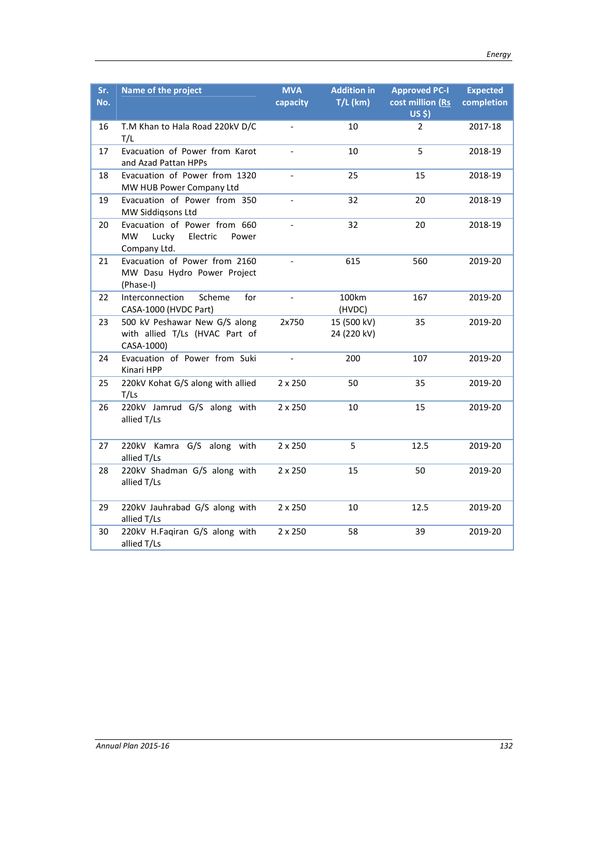| Sr.<br>No. | Name of the project                                                                     | <b>MVA</b><br>capacity   | <b>Addition in</b><br>$T/L$ (km) | <b>Approved PC-I</b><br>cost million (Rs<br>$US$ \$) | <b>Expected</b><br>completion |
|------------|-----------------------------------------------------------------------------------------|--------------------------|----------------------------------|------------------------------------------------------|-------------------------------|
| 16         | T.M Khan to Hala Road 220kV D/C<br>T/L                                                  | $\frac{1}{2}$            | 10                               | $\overline{2}$                                       | 2017-18                       |
| 17         | Evacuation of Power from Karot<br>and Azad Pattan HPPs                                  | $\overline{\phantom{a}}$ | 10                               | 5                                                    | 2018-19                       |
| 18         | Evacuation of Power from 1320<br>MW HUB Power Company Ltd                               | $\overline{a}$           | 25                               | 15                                                   | 2018-19                       |
| 19         | Evacuation of Power from 350<br>MW Siddigsons Ltd                                       |                          | 32                               | 20                                                   | 2018-19                       |
| 20         | Evacuation of Power from 660<br><b>MW</b><br>Lucky<br>Electric<br>Power<br>Company Ltd. |                          | 32                               | 20                                                   | 2018-19                       |
| 21         | Evacuation of Power from 2160<br>MW Dasu Hydro Power Project<br>(Phase-I)               |                          | 615                              | 560                                                  | 2019-20                       |
| 22         | Scheme<br>for<br>Interconnection<br>CASA-1000 (HVDC Part)                               | $\blacksquare$           | 100km<br>(HVDC)                  | 167                                                  | 2019-20                       |
| 23         | 500 kV Peshawar New G/S along<br>with allied T/Ls (HVAC Part of<br>CASA-1000)           | 2x750                    | 15 (500 kV)<br>24 (220 kV)       | 35                                                   | 2019-20                       |
| 24         | Evacuation of Power from Suki<br>Kinari HPP                                             | $\blacksquare$           | 200                              | 107                                                  | 2019-20                       |
| 25         | 220kV Kohat G/S along with allied<br>T/Ls                                               | 2 x 250                  | 50                               | 35                                                   | 2019-20                       |
| 26         | 220kV Jamrud G/S along with<br>allied T/Ls                                              | 2 x 250                  | 10                               | 15                                                   | 2019-20                       |
| 27         | 220kV Kamra G/S along with<br>allied T/Ls                                               | 2 x 250                  | 5                                | 12.5                                                 | 2019-20                       |
| 28         | 220kV Shadman G/S along with<br>allied T/Ls                                             | 2 x 250                  | 15                               | 50                                                   | 2019-20                       |
| 29         | 220kV Jauhrabad G/S along with<br>allied T/Ls                                           | 2 x 250                  | 10                               | 12.5                                                 | 2019-20                       |
| 30         | 220kV H.Faqiran G/S along with<br>allied T/Ls                                           | 2 x 250                  | 58                               | 39                                                   | 2019-20                       |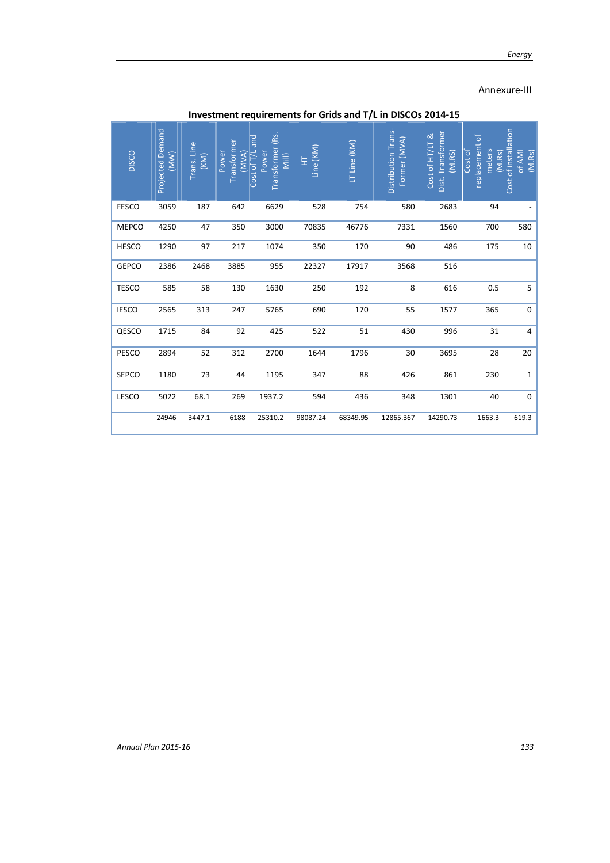## Annexure-III

| <b>DISCO</b> | <b>Projected Demand</b><br>(MM) | Trans. Line<br>$\overline{(KM)}$ | Transformer<br>Power<br>(MVA) | Transformer (Rs<br>Cost of T/L and<br>Power<br>Mill) | Line (KM)<br>토 | LT Line (KM) | Distribution Trans-<br>Former (MVA) | Dist. Transformer<br>Cost of HT/LT &<br>(M.RS) | replacement of<br>Cost of<br>meters<br>(M.Rs) | Cost of installation<br>of AMI<br>(M.Rs) |
|--------------|---------------------------------|----------------------------------|-------------------------------|------------------------------------------------------|----------------|--------------|-------------------------------------|------------------------------------------------|-----------------------------------------------|------------------------------------------|
| <b>FESCO</b> | 3059                            | 187                              | 642                           | 6629                                                 | 528            | 754          | 580                                 | 2683                                           | 94                                            |                                          |
| <b>MEPCO</b> | 4250                            | 47                               | 350                           | 3000                                                 | 70835          | 46776        | 7331                                | 1560                                           | 700                                           | 580                                      |
| <b>HESCO</b> | 1290                            | 97                               | 217                           | 1074                                                 | 350            | 170          | 90                                  | 486                                            | 175                                           | 10                                       |
| <b>GEPCO</b> | 2386                            | 2468                             | 3885                          | 955                                                  | 22327          | 17917        | 3568                                | 516                                            |                                               |                                          |
| <b>TESCO</b> | 585                             | 58                               | 130                           | 1630                                                 | 250            | 192          | 8                                   | 616                                            | 0.5                                           | 5                                        |
| <b>IESCO</b> | 2565                            | 313                              | 247                           | 5765                                                 | 690            | 170          | 55                                  | 1577                                           | 365                                           | 0                                        |
| QESCO        | 1715                            | 84                               | 92                            | 425                                                  | 522            | 51           | 430                                 | 996                                            | 31                                            | 4                                        |
| PESCO        | 2894                            | 52                               | 312                           | 2700                                                 | 1644           | 1796         | 30                                  | 3695                                           | 28                                            | 20                                       |
| <b>SEPCO</b> | 1180                            | 73                               | 44                            | 1195                                                 | 347            | 88           | 426                                 | 861                                            | 230                                           | 1                                        |
| LESCO        | 5022                            | 68.1                             | 269                           | 1937.2                                               | 594            | 436          | 348                                 | 1301                                           | 40                                            | $\mathbf 0$                              |
|              | 24946                           | 3447.1                           | 6188                          | 25310.2                                              | 98087.24       | 68349.95     | 12865.367                           | 14290.73                                       | 1663.3                                        | 619.3                                    |

Investment requirements for Grids and T/L in DISCOs 2014-15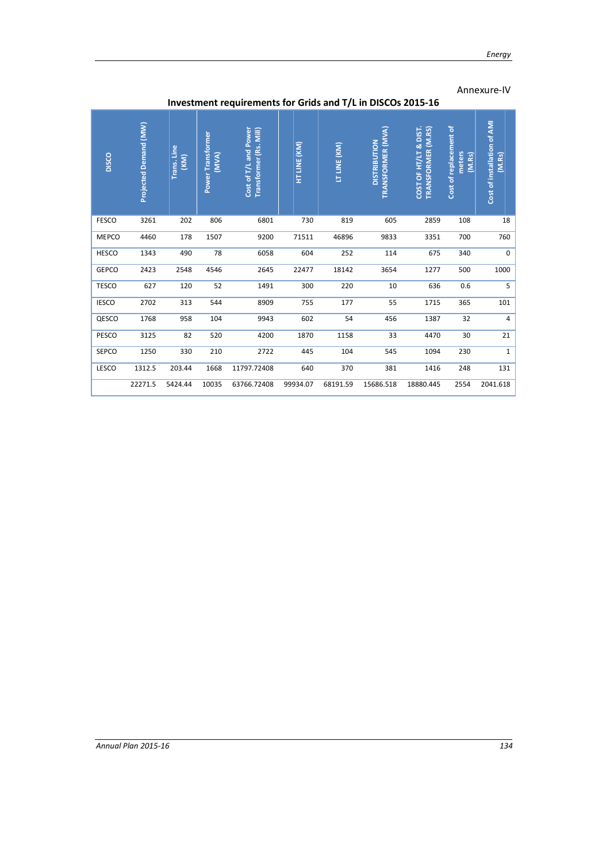## Annexure-IV

|              | mesunent requirements for Grius and T/L in Discus 2015-10 |                                        |                                   |                                                 |              |              |                                          |                                             |                                            |                                       |
|--------------|-----------------------------------------------------------|----------------------------------------|-----------------------------------|-------------------------------------------------|--------------|--------------|------------------------------------------|---------------------------------------------|--------------------------------------------|---------------------------------------|
| DISCO        | Projected Demand (MW)                                     | Trans. Line<br>$\overline{(\kappa m)}$ | <b>Power Transformer</b><br>(MVA) | Cost of T/L and Power<br>Transformer (Rs. Mill) | HT LINE (KM) | LT LINE (KM) | TRANSFORMER (MVA)<br><b>DISTRIBUTION</b> | COST OF HT/LT & DIST.<br>TRANSFORMER (M.RS) | Cost of replacement of<br>meters<br>(M.Rs) | Cost of installation of AMI<br>(M.Rs) |
| <b>FESCO</b> | 3261                                                      | 202                                    | 806                               | 6801                                            | 730          | 819          | 605                                      | 2859                                        | 108                                        | 18                                    |
| <b>MEPCO</b> | 4460                                                      | 178                                    | 1507                              | 9200                                            | 71511        | 46896        | 9833                                     | 3351                                        | 700                                        | 760                                   |
| <b>HESCO</b> | 1343                                                      | 490                                    | 78                                | 6058                                            | 604          | 252          | 114                                      | 675                                         | 340                                        | $\mathbf 0$                           |
| GEPCO        | 2423                                                      | 2548                                   | 4546                              | 2645                                            | 22477        | 18142        | 3654                                     | 1277                                        | 500                                        | 1000                                  |
| <b>TESCO</b> | 627                                                       | 120                                    | 52                                | 1491                                            | 300          | 220          | 10                                       | 636                                         | 0.6                                        | 5                                     |
| <b>IESCO</b> | 2702                                                      | 313                                    | 544                               | 8909                                            | 755          | 177          | 55                                       | 1715                                        | 365                                        | 101                                   |
| QESCO        | 1768                                                      | 958                                    | 104                               | 9943                                            | 602          | 54           | 456                                      | 1387                                        | 32                                         | 4                                     |
| PESCO        | 3125                                                      | 82                                     | 520                               | 4200                                            | 1870         | 1158         | 33                                       | 4470                                        | 30                                         | 21                                    |
| SEPCO        | 1250                                                      | 330                                    | 210                               | 2722                                            | 445          | 104          | 545                                      | 1094                                        | 230                                        | $\mathbf{1}$                          |
| LESCO        | 1312.5                                                    | 203.44                                 | 1668                              | 11797.72408                                     | 640          | 370          | 381                                      | 1416                                        | 248                                        | 131                                   |
|              | 22271.5                                                   | 5424.44                                | 10035                             | 63766.72408                                     | 99934.07     | 68191.59     | 15686.518                                | 18880.445                                   | 2554                                       | 2041.618                              |

## Investment requirements for Grids and T/L in DISCOs 2015-16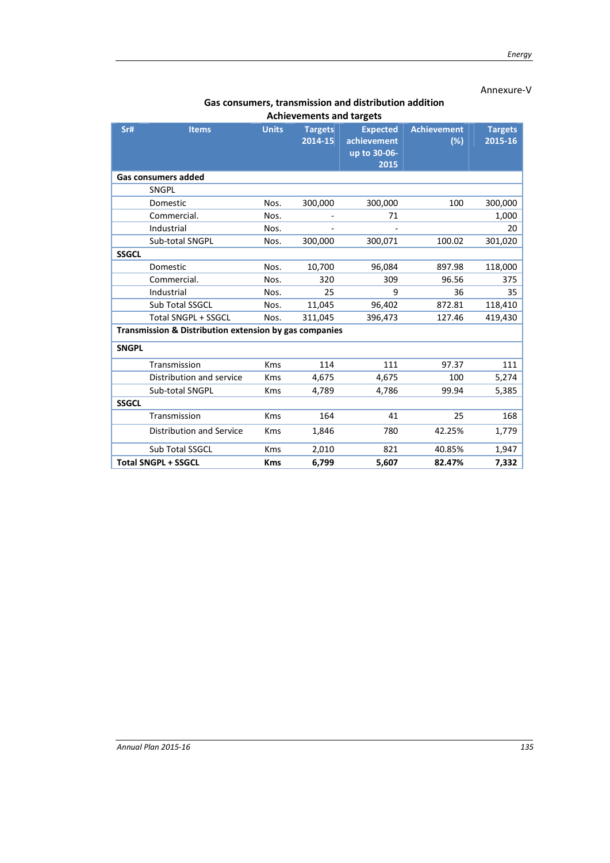### Annexure-V

#### Gas consumers, transmission and distribution addition Achievements and targets

|              | Achievements and targets                               |              |                           |                                                        |                           |                           |  |  |
|--------------|--------------------------------------------------------|--------------|---------------------------|--------------------------------------------------------|---------------------------|---------------------------|--|--|
| Sr#          | <b>Items</b>                                           | <b>Units</b> | <b>Targets</b><br>2014-15 | <b>Expected</b><br>achievement<br>up to 30-06-<br>2015 | <b>Achievement</b><br>(%) | <b>Targets</b><br>2015-16 |  |  |
|              | <b>Gas consumers added</b>                             |              |                           |                                                        |                           |                           |  |  |
|              | SNGPL                                                  |              |                           |                                                        |                           |                           |  |  |
|              | Domestic                                               | Nos.         | 300,000                   | 300,000                                                | 100                       | 300,000                   |  |  |
|              | Commercial.                                            | Nos.         |                           | 71                                                     |                           | 1,000                     |  |  |
|              | Industrial                                             | Nos.         |                           |                                                        |                           | 20                        |  |  |
|              | Sub-total SNGPL                                        | Nos.         | 300,000                   | 300,071                                                | 100.02                    | 301,020                   |  |  |
| <b>SSGCL</b> |                                                        |              |                           |                                                        |                           |                           |  |  |
|              | Domestic                                               | Nos.         | 10,700                    | 96,084                                                 | 897.98                    | 118,000                   |  |  |
|              | Commercial.                                            | Nos.         | 320                       | 309                                                    | 96.56                     | 375                       |  |  |
|              | Industrial                                             | Nos.         | 25                        | 9                                                      | 36                        | 35                        |  |  |
|              | <b>Sub Total SSGCL</b>                                 | Nos.         | 11,045                    | 96,402                                                 | 872.81                    | 118,410                   |  |  |
|              | <b>Total SNGPL + SSGCL</b>                             | Nos.         | 311,045                   | 396,473                                                | 127.46                    | 419,430                   |  |  |
|              | Transmission & Distribution extension by gas companies |              |                           |                                                        |                           |                           |  |  |
| <b>SNGPL</b> |                                                        |              |                           |                                                        |                           |                           |  |  |
|              | Transmission                                           | <b>Kms</b>   | 114                       | 111                                                    | 97.37                     | 111                       |  |  |
|              | Distribution and service                               | <b>Kms</b>   | 4,675                     | 4,675                                                  | 100                       | 5,274                     |  |  |
|              | Sub-total SNGPL                                        | <b>Kms</b>   | 4,789                     | 4,786                                                  | 99.94                     | 5,385                     |  |  |
| <b>SSGCL</b> |                                                        |              |                           |                                                        |                           |                           |  |  |
|              | Transmission                                           | <b>Kms</b>   | 164                       | 41                                                     | 25                        | 168                       |  |  |
|              | Distribution and Service                               | <b>Kms</b>   | 1,846                     | 780                                                    | 42.25%                    | 1,779                     |  |  |
|              | <b>Sub Total SSGCL</b>                                 | <b>Kms</b>   | 2,010                     | 821                                                    | 40.85%                    | 1,947                     |  |  |
|              | <b>Total SNGPL + SSGCL</b>                             | <b>Kms</b>   | 6,799                     | 5,607                                                  | 82.47%                    | 7,332                     |  |  |